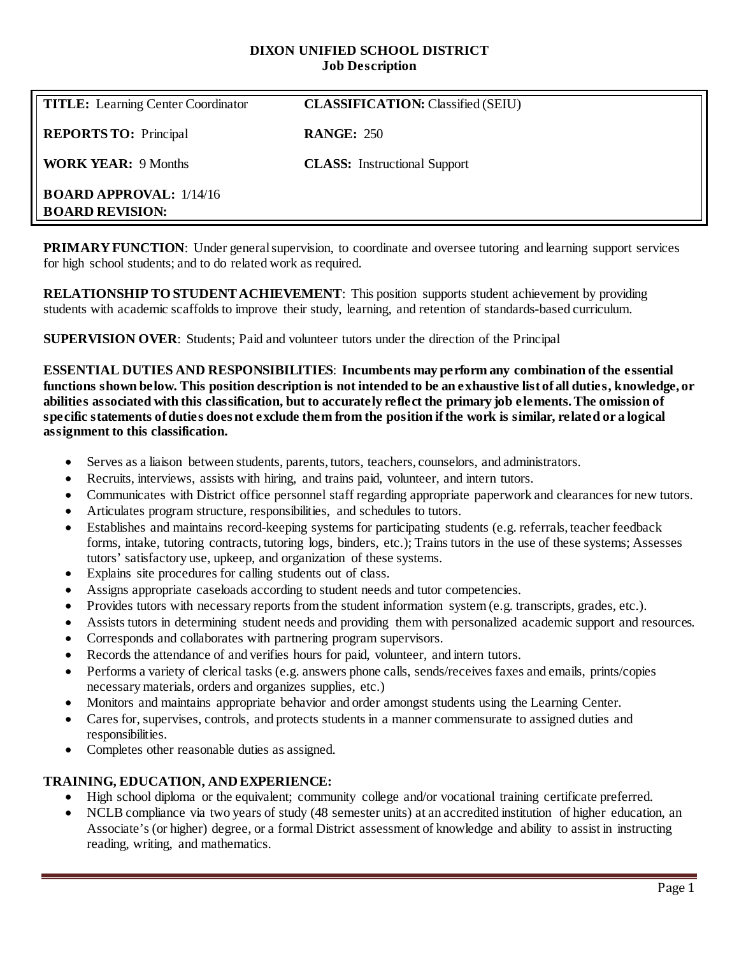### **DIXON UNIFIED SCHOOL DISTRICT Job Description**

| <b>TITLE:</b> Learning Center Coordinator                  | <b>CLASSIFICATION: Classified (SEIU)</b> |
|------------------------------------------------------------|------------------------------------------|
| <b>REPORTS TO:</b> Principal                               | <b>RANGE: 250</b>                        |
| <b>WORK YEAR: 9 Months</b>                                 | <b>CLASS:</b> Instructional Support      |
| <b>BOARD APPROVAL:</b> $1/14/16$<br><b>BOARD REVISION:</b> |                                          |

**PRIMARY FUNCTION:** Under general supervision, to coordinate and oversee tutoring and learning support services for high school students; and to do related work as required.

**RELATIONSHIP TO STUDENT ACHIEVEMENT**: This position supports student achievement by providing students with academic scaffolds to improve their study, learning, and retention of standards-based curriculum.

**SUPERVISION OVER**: Students; Paid and volunteer tutors under the direction of the Principal

**ESSENTIAL DUTIES AND RESPONSIBILITIES**: **Incumbents may perform any combination of the essential functions shown below. This position description is not intended to be an exhaustive list of all duties, knowledge, or abilities associated with this classification, but to accurately reflect the primary job elements. The omission of specific statements of duties does not exclude them from the position if the work is similar, related or a logical assignment to this classification.**

- Serves as a liaison between students, parents, tutors, teachers, counselors, and administrators.
- Recruits, interviews, assists with hiring, and trains paid, volunteer, and intern tutors.
- Communicates with District office personnel staff regarding appropriate paperwork and clearances for new tutors.
- Articulates program structure, responsibilities, and schedules to tutors.
- Establishes and maintains record-keeping systems for participating students (e.g. referrals, teacher feedback forms, intake, tutoring contracts, tutoring logs, binders, etc.); Trains tutors in the use of these systems; Assesses tutors' satisfactory use, upkeep, and organization of these systems.
- Explains site procedures for calling students out of class.
- Assigns appropriate caseloads according to student needs and tutor competencies.
- Provides tutors with necessary reports from the student information system (e.g. transcripts, grades, etc.).
- Assists tutors in determining student needs and providing them with personalized academic support and resources.
- Corresponds and collaborates with partnering program supervisors.
- Records the attendance of and verifies hours for paid, volunteer, and intern tutors.
- Performs a variety of clerical tasks (e.g. answers phone calls, sends/receives faxes and emails, prints/copies necessary materials, orders and organizes supplies, etc.)
- Monitors and maintains appropriate behavior and order amongst students using the Learning Center.
- Cares for, supervises, controls, and protects students in a manner commensurate to assigned duties and responsibilities.
- Completes other reasonable duties as assigned.

#### **TRAINING, EDUCATION, AND EXPERIENCE:**

- High school diploma or the equivalent; community college and/or vocational training certificate preferred.
- NCLB compliance via two years of study (48 semester units) at an accredited institution of higher education, an Associate's (or higher) degree, or a formal District assessment of knowledge and ability to assist in instructing reading, writing, and mathematics.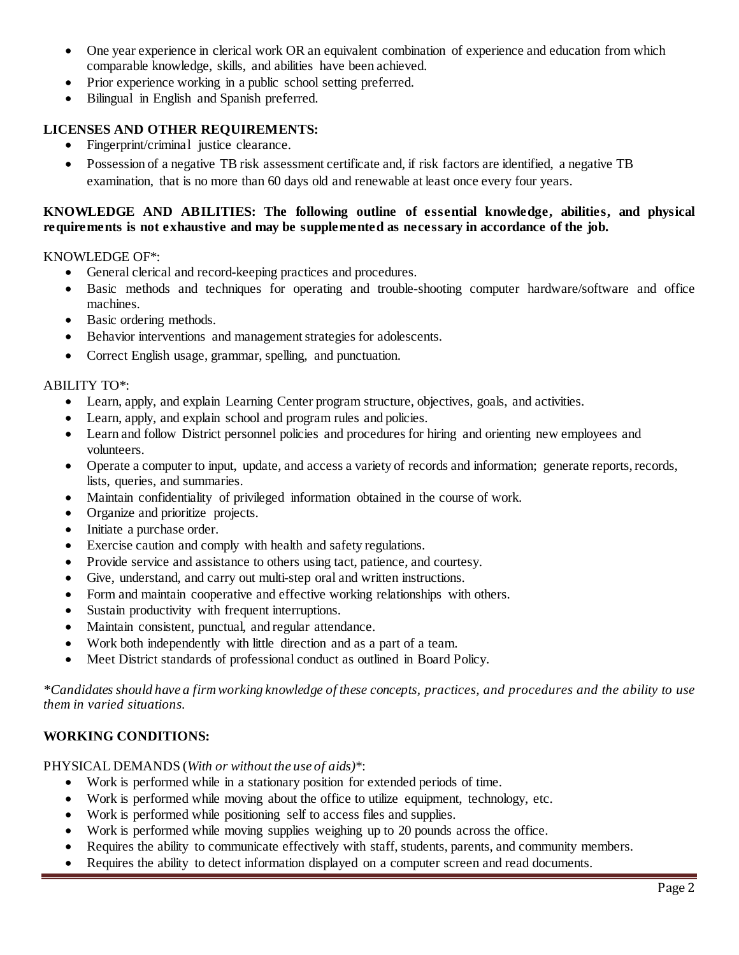- One year experience in clerical work OR an equivalent combination of experience and education from which comparable knowledge, skills, and abilities have been achieved.
- Prior experience working in a public school setting preferred.
- Bilingual in English and Spanish preferred.

# **LICENSES AND OTHER REQUIREMENTS:**

- Fingerprint/criminal justice clearance.
- Possession of a negative TB risk assessment certificate and, if risk factors are identified, a negative TB examination, that is no more than 60 days old and renewable at least once every four years.

### **KNOWLEDGE AND ABILITIES: The following outline of essential knowledge, abilities, and physical requirements is not exhaustive and may be supplemented as necessary in accordance of the job.**

#### KNOWLEDGE OF\*:

- General clerical and record-keeping practices and procedures.
- Basic methods and techniques for operating and trouble-shooting computer hardware/software and office machines.
- Basic ordering methods.
- Behavior interventions and management strategies for adolescents.
- Correct English usage, grammar, spelling, and punctuation.

#### ABILITY TO\*:

- Learn, apply, and explain Learning Center program structure, objectives, goals, and activities.
- Learn, apply, and explain school and program rules and policies.
- Learn and follow District personnel policies and procedures for hiring and orienting new employees and volunteers.
- Operate a computer to input, update, and access a variety of records and information; generate reports, records, lists, queries, and summaries.
- Maintain confidentiality of privileged information obtained in the course of work.
- Organize and prioritize projects.
- Initiate a purchase order.
- Exercise caution and comply with health and safety regulations.
- Provide service and assistance to others using tact, patience, and courtesy.
- Give, understand, and carry out multi-step oral and written instructions.
- Form and maintain cooperative and effective working relationships with others.
- Sustain productivity with frequent interruptions.
- Maintain consistent, punctual, and regular attendance.
- Work both independently with little direction and as a part of a team.
- Meet District standards of professional conduct as outlined in Board Policy.

*\*Candidates should have a firm working knowledge of these concepts, practices, and procedures and the ability to use them in varied situations.*

## **WORKING CONDITIONS:**

#### PHYSICAL DEMANDS (*With or without the use of aids)*\*:

- Work is performed while in a stationary position for extended periods of time.
- Work is performed while moving about the office to utilize equipment, technology, etc.
- Work is performed while positioning self to access files and supplies.
- Work is performed while moving supplies weighing up to 20 pounds across the office.
- Requires the ability to communicate effectively with staff, students, parents, and community members.
- Requires the ability to detect information displayed on a computer screen and read documents.